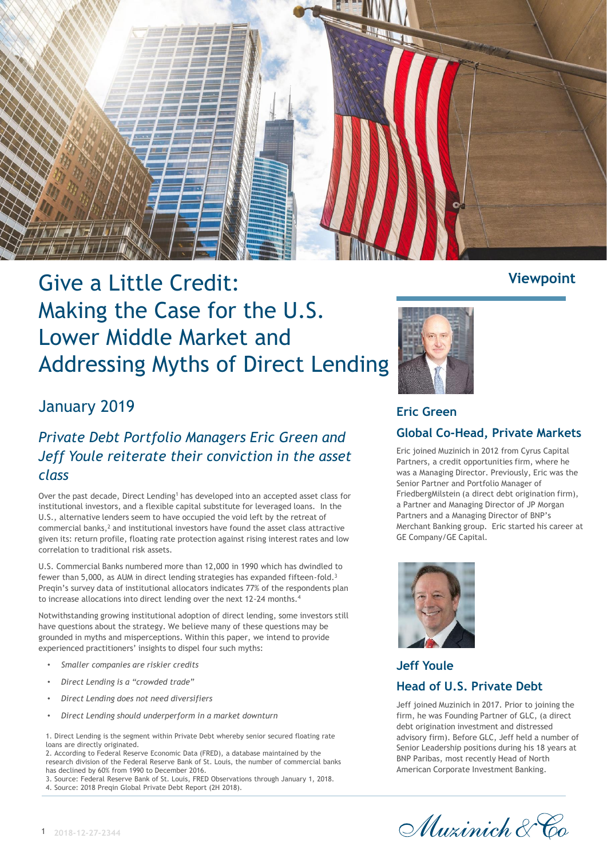

# Give a Little Credit: Making the Case for the U.S. Lower Middle Market and Addressing Myths of Direct Lending

## January 2019

## *Private Debt Portfolio Managers Eric Green and Jeff Youle reiterate their conviction in the asset class*

Over the past decade, Direct Lending<sup>1</sup> has developed into an accepted asset class for institutional investors, and a flexible capital substitute for leveraged loans. In the U.S., alternative lenders seem to have occupied the void left by the retreat of commercial banks,<sup>2</sup> and institutional investors have found the asset class attractive given its: return profile, floating rate protection against rising interest rates and low correlation to traditional risk assets.

U.S. Commercial Banks numbered more than 12,000 in 1990 which has dwindled to fewer than 5,000, as AUM in direct lending strategies has expanded fifteen-fold.<sup>3</sup> Preqin's survey data of institutional allocators indicates 77% of the respondents plan to increase allocations into direct lending over the next 12-24 months.<sup>4</sup>

Notwithstanding growing institutional adoption of direct lending, some investors still have questions about the strategy. We believe many of these questions may be grounded in myths and misperceptions. Within this paper, we intend to provide experienced practitioners' insights to dispel four such myths:

- *Smaller companies are riskier credits*
- *Direct Lending is a "crowded trade"*
- *Direct Lending does not need diversifiers*
- *Direct Lending should underperform in a market downturn*

1. Direct Lending is the segment within Private Debt whereby senior secured floating rate loans are directly originated.

2. According to Federal Reserve Economic Data (FRED), a database maintained by the research division of the Federal Reserve Bank of St. Louis, the number of commercial banks has declined by 60% from 1990 to December 2016.

3. Source: Federal Reserve Bank of St. Louis, FRED Observations through January 1, 2018. 4. Source: 2018 Preqin Global Private Debt Report (2H 2018).



## **Eric Green Global Co-Head, Private Markets**

Eric joined Muzinich in 2012 from Cyrus Capital Partners, a credit opportunities firm, where he was a Managing Director. Previously, Eric was the Senior Partner and Portfolio Manager of FriedbergMilstein (a direct debt origination firm), a Partner and Managing Director of JP Morgan Partners and a Managing Director of BNP's Merchant Banking group. Eric started his career at GE Company/GE Capital.



## **Jeff Youle Head of U.S. Private Debt**

Jeff joined Muzinich in 2017. Prior to joining the firm, he was Founding Partner of GLC, (a direct debt origination investment and distressed advisory firm). Before GLC, Jeff held a number of Senior Leadership positions during his 18 years at BNP Paribas, most recently Head of North American Corporate Investment Banking.

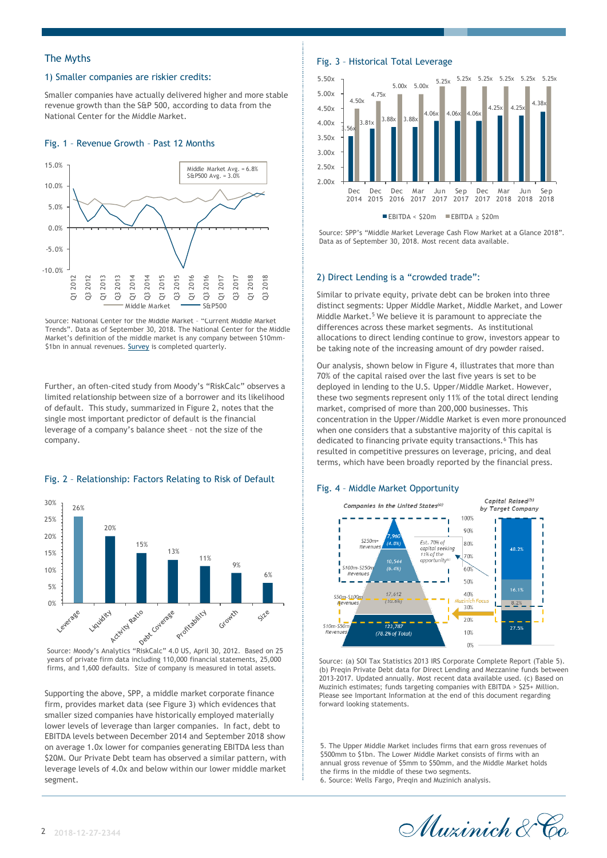## 1) Smaller companies are riskier credits:

Smaller companies have actually delivered higher and more stable revenue growth than the S&P 500, according to data from the National Center for the Middle Market.

### Fig. 1 – Revenue Growth – Past 12 Months



Source: National Center for the Middle Market – "Current Middle Market Trends". Data as of September 30, 2018. The National Center for the Middle Market's definition of the middle market is any company between \$10mm- \$1bn in annual revenues. [Survey](https://www.middlemarketcenter.org/performance-data-on-the-middle-market) is completed quarterly.

Further, an often-cited study from Moody's "RiskCalc" observes a limited relationship between size of a borrower and its likelihood of default. This study, summarized in Figure 2, notes that the single most important predictor of default is the financial leverage of a company's balance sheet – not the size of the company.



## Fig. 2 – Relationship: Factors Relating to Risk of Default

years of private firm data including 110,000 financial statements, 25,000 firms, and 1,600 defaults. Size of company is measured in total assets.

Supporting the above, SPP, a middle market corporate finance firm, provides market data (see Figure 3) which evidences that smaller sized companies have historically employed materially lower levels of leverage than larger companies. In fact, debt to EBITDA levels between December 2014 and September 2018 show on average 1.0x lower for companies generating EBITDA less than \$20M. Our Private Debt team has observed a similar pattern, with leverage levels of 4.0x and below within our lower middle market segment.

## The Myths Fig. 3 – Historical Total Leverage



 $E$ EBITDA < \$20m  $E$ EBITDA > \$20m

Source: SPP's "Middle Market Leverage Cash Flow Market at a Glance 2018". Data as of September 30, 2018. Most recent data available.

#### 2) Direct Lending is a "crowded trade":

Similar to private equity, private debt can be broken into three distinct segments: Upper Middle Market, Middle Market, and Lower Middle Market.<sup>5</sup> We believe it is paramount to appreciate the differences across these market segments. As institutional allocations to direct lending continue to grow, investors appear to be taking note of the increasing amount of dry powder raised.

Our analysis, shown below in Figure 4, illustrates that more than 70% of the capital raised over the last five years is set to be deployed in lending to the U.S. Upper/Middle Market. However, these two segments represent only 11% of the total direct lending market, comprised of more than 200,000 businesses. This concentration in the Upper/Middle Market is even more pronounced when one considers that a substantive majority of this capital is dedicated to financing private equity transactions.<sup>6</sup> This has resulted in competitive pressures on leverage, pricing, and deal terms, which have been broadly reported by the financial press.

#### Fig. 4 – Middle Market Opportunity



Source: (a) SOI Tax Statistics 2013 IRS Corporate Complete Report (Table 5). (b) Preqin Private Debt data for Direct Lending and Mezzanine funds between 2013-2017. Updated annually. Most recent data available used. (c) Based on Muzinich estimates; funds targeting companies with EBITDA > \$25+ Million. Please see Important Information at the end of this document regarding forward looking statements.

5. The Upper Middle Market includes firms that earn gross revenues of \$500mm to \$1bn. The Lower Middle Market consists of firms with an annual gross revenue of \$5mm to \$50mm, and the Middle Market holds the firms in the middle of these two segments. 6. Source: Wells Fargo, Preqin and Muzinich analysis.

Muzinich & Co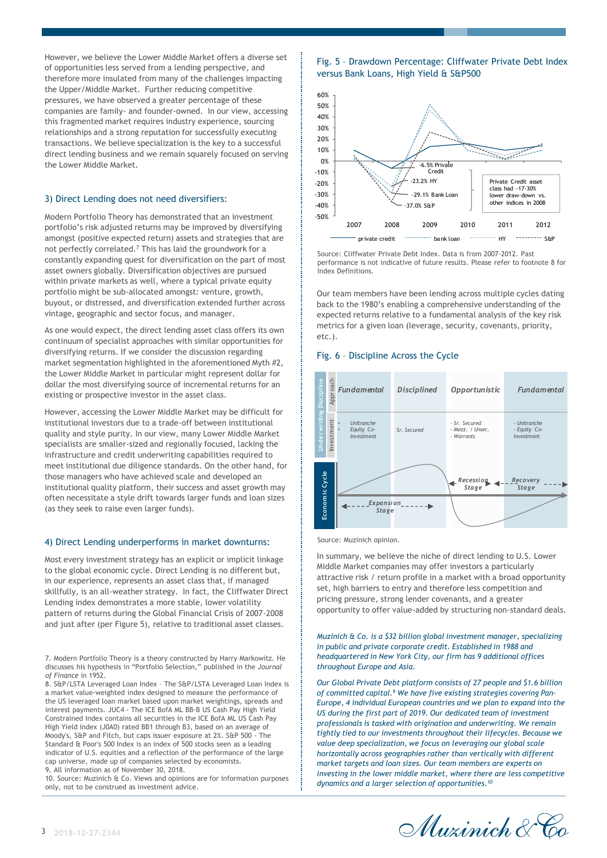However, we believe the Lower Middle Market offers a diverse set of opportunities less served from a lending perspective, and therefore more insulated from many of the challenges impacting the Upper/Middle Market. Further reducing competitive pressures, we have observed a greater percentage of these companies are family- and founder-owned. In our view, accessing this fragmented market requires industry experience, sourcing relationships and a strong reputation for successfully executing transactions. We believe specialization is the key to a successful direct lending business and we remain squarely focused on serving the Lower Middle Market.

### 3) Direct Lending does not need diversifiers:

Modern Portfolio Theory has demonstrated that an investment portfolio's risk adjusted returns may be improved by diversifying amongst (positive expected return) assets and strategies that are not perfectly correlated.<sup>7</sup> This has laid the groundwork for a constantly expanding quest for diversification on the part of most asset owners globally. Diversification objectives are pursued within private markets as well, where a typical private equity portfolio might be sub-allocated amongst: venture, growth, buyout, or distressed, and diversification extended further across vintage, geographic and sector focus, and manager.

As one would expect, the direct lending asset class offers its own continuum of specialist approaches with similar opportunities for diversifying returns. If we consider the discussion regarding market segmentation highlighted in the aforementioned Myth #2, the Lower Middle Market in particular might represent dollar for dollar the most diversifying source of incremental returns for an existing or prospective investor in the asset class.

However, accessing the Lower Middle Market may be difficult for institutional investors due to a trade-off between institutional quality and style purity. In our view, many Lower Middle Market specialists are smaller-sized and regionally focused, lacking the infrastructure and credit underwriting capabilities required to meet institutional due diligence standards. On the other hand, for those managers who have achieved scale and developed an institutional quality platform, their success and asset growth may often necessitate a style drift towards larger funds and loan sizes (as they seek to raise even larger funds).

#### 4) Direct Lending underperforms in market downturns:

Most every investment strategy has an explicit or implicit linkage to the global economic cycle. Direct Lending is no different but, in our experience, represents an asset class that, if managed skillfully, is an all-weather strategy. In fact, the Cliffwater Direct Lending index demonstrates a more stable, lower volatility pattern of returns during the Global Financial Crisis of 2007-2008 and just after (per Figure 5), relative to traditional asset classes.

8. S&P/LSTA Leveraged Loan Index – The S&P/LSTA Leveraged Loan Index is a market value-weighted index designed to measure the performance of the US leveraged loan market based upon market weightings, spreads and interest payments. JUC4 - The ICE BofA ML BB-B US Cash Pay High Yield Constrained Index contains all securities in the ICE BofA ML US Cash Pay High Yield Index (J0A0) rated BB1 through B3, based on an average of Moody's, S&P and Fitch, but caps issuer exposure at 2%. S&P 500 - The Standard & Poor's 500 Index is an index of 500 stocks seen as a leading indicator of U.S. equities and a reflection of the performance of the large cap universe, made up of companies selected by economists. 9. All information as of November 30, 2018.

10. Source: Muzinich & Co. Views and opinions are for information purposes only, not to be construed as investment advice.

## Fig. 5 – Drawdown Percentage: Cliffwater Private Debt Index versus Bank Loans, High Yield & S&P500



Source: Cliffwater Private Debt Index. Data is from 2007-2012. Past performance is not indicative of future results. Please refer to footnote 8 for Index Definitions.

Our team members have been lending across multiple cycles dating back to the 1980's enabling a comprehensive understanding of the expected returns relative to a fundamental analysis of the key risk metrics for a given loan (leverage, security, covenants, priority, etc.).

## Fig. 6 – Discipline Across the Cycle



Source: Muzinich opinion.

In summary, we believe the niche of direct lending to U.S. Lower Middle Market companies may offer investors a particularly attractive risk / return profile in a market with a broad opportunity set, high barriers to entry and therefore less competition and pricing pressure, strong lender covenants, and a greater opportunity to offer value-added by structuring non-standard deals.

#### *Muzinich & Co. is a \$32 billion global investment manager, specializing in public and private corporate credit. Established in 1988 and headquartered in New York City, our firm has 9 additional offices throughout Europe and Asia.*

*Our Global Private Debt platform consists of 27 people and \$1.6 billion of committed capital.<sup>9</sup> We have five existing strategies covering Pan-Europe, 4 individual European countries and we plan to expand into the US during the first part of 2019. Our dedicated team of investment professionals is tasked with origination and underwriting. We remain tightly tied to our investments throughout their lifecycles. Because we value deep specialization, we focus on leveraging our global scale horizontally across geographies rather than vertically with different market targets and loan sizes. Our team members are experts on investing in the lower middle market, where there are less competitive dynamics and a larger selection of opportunities.<sup>10</sup>*



<sup>7.</sup> Modern Portfolio Theory is a theory constructed by Harry Markowitz. He discusses his hypothesis in "Portfolio Selection," published in the *Journal of Finance* in 1952.